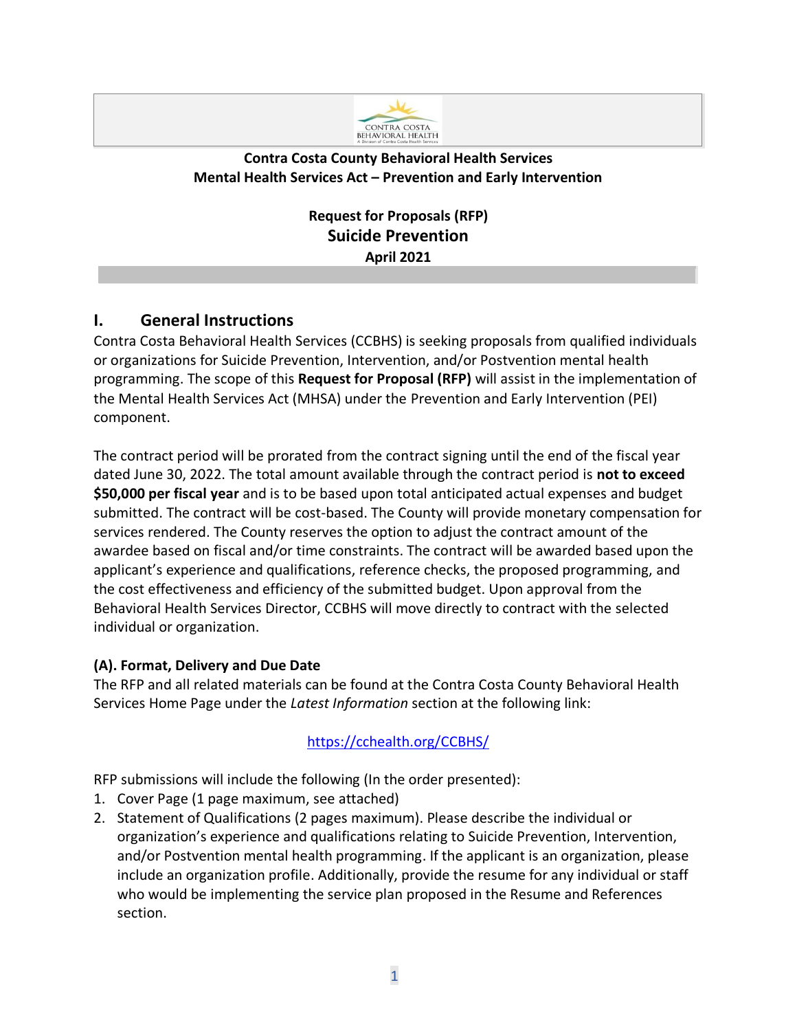

## **Contra Costa County Behavioral Health Services Mental Health Services Act – Prevention and Early Intervention**

**Request for Proposals (RFP) Suicide Prevention April 2021**

## **I. General Instructions**

Contra Costa Behavioral Health Services (CCBHS) is seeking proposals from qualified individuals or organizations for Suicide Prevention, Intervention, and/or Postvention mental health programming. The scope of this **Request for Proposal (RFP)** will assist in the implementation of the Mental Health Services Act (MHSA) under the Prevention and Early Intervention (PEI) component.

The contract period will be prorated from the contract signing until the end of the fiscal year dated June 30, 2022. The total amount available through the contract period is **not to exceed \$50,000 per fiscal year** and is to be based upon total anticipated actual expenses and budget submitted. The contract will be cost-based. The County will provide monetary compensation for services rendered. The County reserves the option to adjust the contract amount of the awardee based on fiscal and/or time constraints. The contract will be awarded based upon the applicant's experience and qualifications, reference checks, the proposed programming, and the cost effectiveness and efficiency of the submitted budget. Upon approval from the Behavioral Health Services Director, CCBHS will move directly to contract with the selected individual or organization.

## **(A). Format, Delivery and Due Date**

The RFP and all related materials can be found at the Contra Costa County Behavioral Health Services Home Page under the *Latest Information* section at the following link:

## [https://cchealth.org/CCBHS/](https://cchealth.org/bhs/)

RFP submissions will include the following (In the order presented):

- 1. Cover Page (1 page maximum, see attached)
- 2. Statement of Qualifications (2 pages maximum). Please describe the individual or organization's experience and qualifications relating to Suicide Prevention, Intervention, and/or Postvention mental health programming. If the applicant is an organization, please include an organization profile. Additionally, provide the resume for any individual or staff who would be implementing the service plan proposed in the Resume and References section.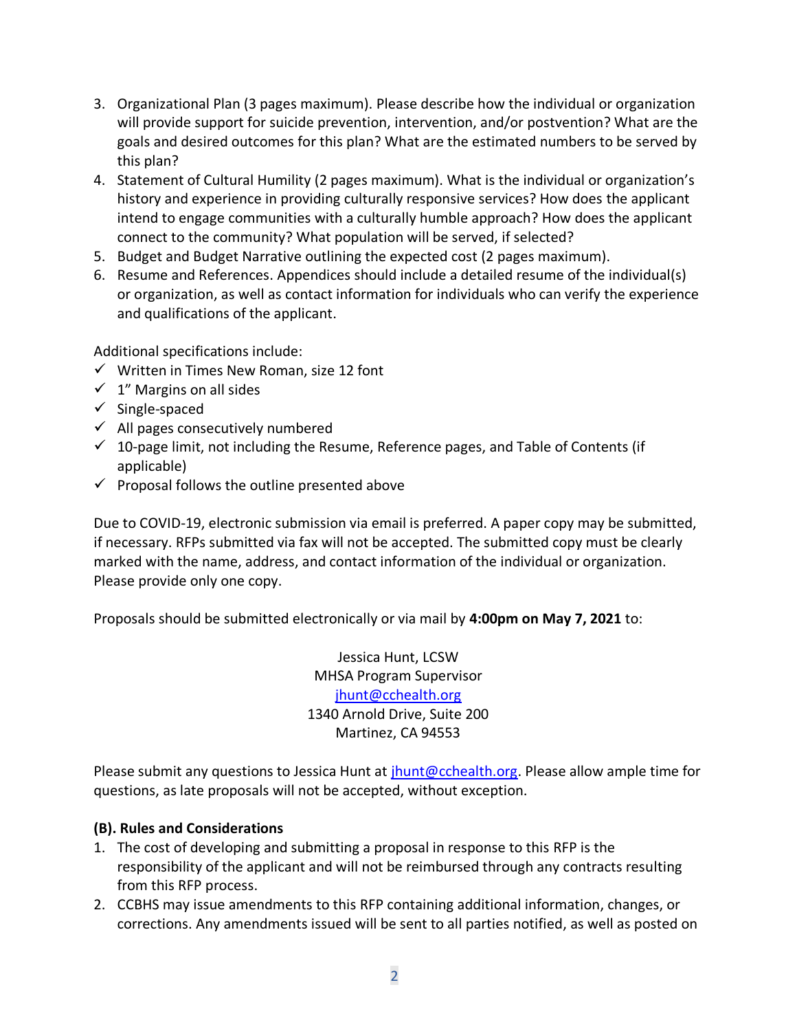- 3. Organizational Plan (3 pages maximum). Please describe how the individual or organization will provide support for suicide prevention, intervention, and/or postvention? What are the goals and desired outcomes for this plan? What are the estimated numbers to be served by this plan?
- 4. Statement of Cultural Humility (2 pages maximum). What is the individual or organization's history and experience in providing culturally responsive services? How does the applicant intend to engage communities with a culturally humble approach? How does the applicant connect to the community? What population will be served, if selected?
- 5. Budget and Budget Narrative outlining the expected cost (2 pages maximum).
- 6. Resume and References. Appendices should include a detailed resume of the individual(s) or organization, as well as contact information for individuals who can verify the experience and qualifications of the applicant.

Additional specifications include:

- $\checkmark$  Written in Times New Roman, size 12 font
- $\checkmark$  1" Margins on all sides
- $\checkmark$  Single-spaced
- $\checkmark$  All pages consecutively numbered
- $\checkmark$  10-page limit, not including the Resume, Reference pages, and Table of Contents (if applicable)
- $\checkmark$  Proposal follows the outline presented above

Due to COVID-19, electronic submission via email is preferred. A paper copy may be submitted, if necessary. RFPs submitted via fax will not be accepted. The submitted copy must be clearly marked with the name, address, and contact information of the individual or organization. Please provide only one copy.

Proposals should be submitted electronically or via mail by **4:00pm on May 7, 2021** to:

Jessica Hunt, LCSW MHSA Program Supervisor [jhunt@cchealth.org](mailto:jhunt@cchealth.org) 1340 Arnold Drive, Suite 200 Martinez, CA 94553

Please submit any questions to Jessica Hunt at [jhunt@cchealth.org.](mailto:jhunt@cchealth.org) Please allow ample time for questions, as late proposals will not be accepted, without exception.

### **(B). Rules and Considerations**

- 1. The cost of developing and submitting a proposal in response to this RFP is the responsibility of the applicant and will not be reimbursed through any contracts resulting from this RFP process.
- 2. CCBHS may issue amendments to this RFP containing additional information, changes, or corrections. Any amendments issued will be sent to all parties notified, as well as posted on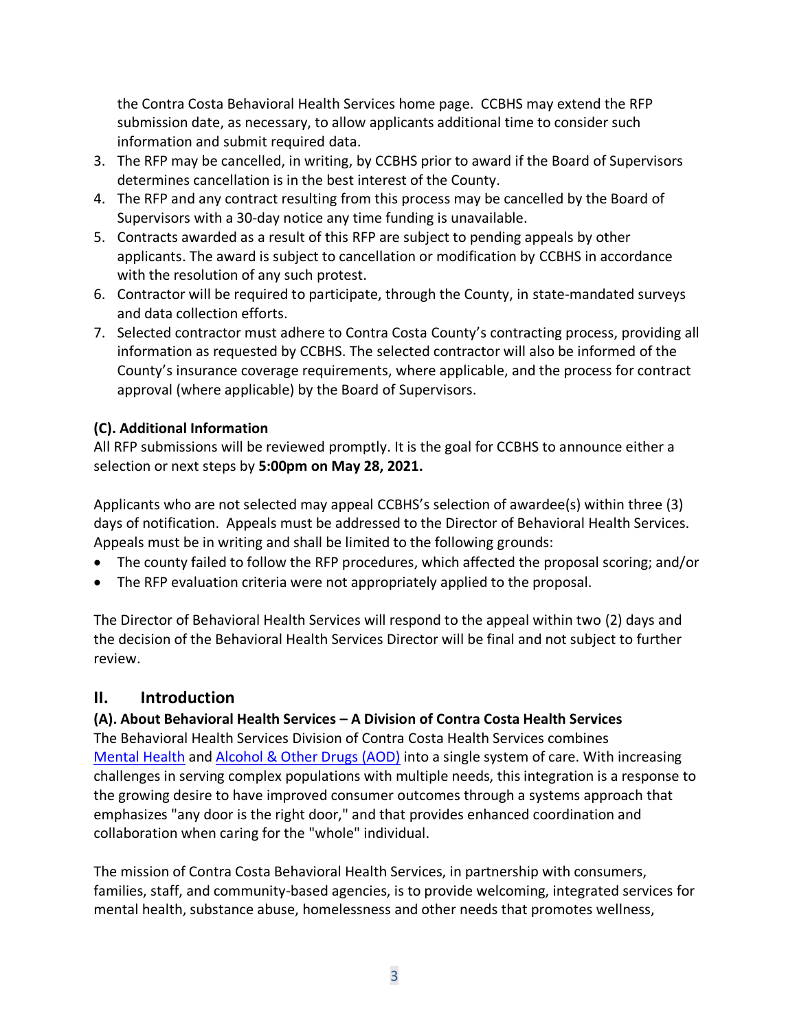the Contra Costa Behavioral Health Services home page. CCBHS may extend the RFP submission date, as necessary, to allow applicants additional time to consider such information and submit required data.

- 3. The RFP may be cancelled, in writing, by CCBHS prior to award if the Board of Supervisors determines cancellation is in the best interest of the County.
- 4. The RFP and any contract resulting from this process may be cancelled by the Board of Supervisors with a 30-day notice any time funding is unavailable.
- 5. Contracts awarded as a result of this RFP are subject to pending appeals by other applicants. The award is subject to cancellation or modification by CCBHS in accordance with the resolution of any such protest.
- 6. Contractor will be required to participate, through the County, in state-mandated surveys and data collection efforts.
- 7. Selected contractor must adhere to Contra Costa County's contracting process, providing all information as requested by CCBHS. The selected contractor will also be informed of the County's insurance coverage requirements, where applicable, and the process for contract approval (where applicable) by the Board of Supervisors.

## **(C). Additional Information**

All RFP submissions will be reviewed promptly. It is the goal for CCBHS to announce either a selection or next steps by **5:00pm on May 28, 2021.**

Applicants who are not selected may appeal CCBHS's selection of awardee(s) within three (3) days of notification. Appeals must be addressed to the Director of Behavioral Health Services. Appeals must be in writing and shall be limited to the following grounds:

- The county failed to follow the RFP procedures, which affected the proposal scoring; and/or
- The RFP evaluation criteria were not appropriately applied to the proposal.

The Director of Behavioral Health Services will respond to the appeal within two (2) days and the decision of the Behavioral Health Services Director will be final and not subject to further review.

## **II. Introduction**

## **(A). About Behavioral Health Services – A Division of Contra Costa Health Services**

The Behavioral Health Services Division of Contra Costa Health Services combines [Mental Health](http://cchealth.org/services/mental_health/) and [Alcohol & Other Drugs](http://cchealth.org/groups/alcohol_and_drugs/) (AOD) into a single system of care. With increasing challenges in serving complex populations with multiple needs, this integration is a response to the growing desire to have improved consumer outcomes through a systems approach that emphasizes "any door is the right door," and that provides enhanced coordination and collaboration when caring for the "whole" individual.

The mission of Contra Costa Behavioral Health Services, in partnership with consumers, families, staff, and community-based agencies, is to provide welcoming, integrated services for mental health, substance abuse, homelessness and other needs that promotes wellness,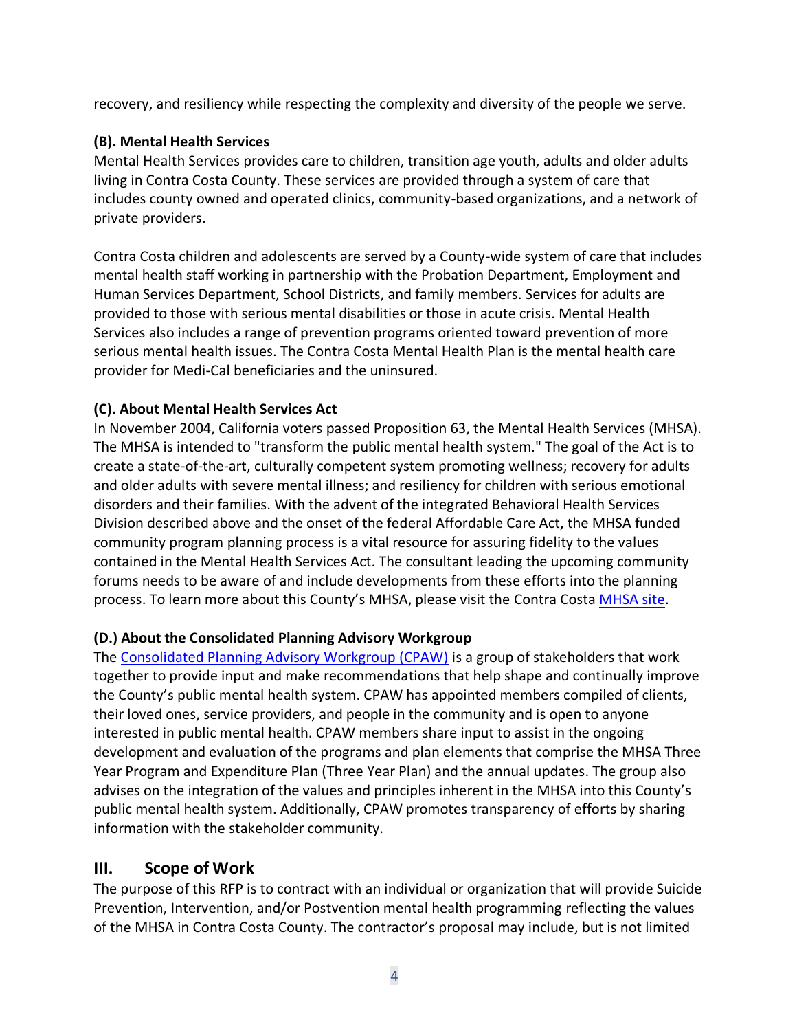recovery, and resiliency while respecting the complexity and diversity of the people we serve.

## **(B). Mental Health Services**

Mental Health Services provides care to children, transition age youth, adults and older adults living in Contra Costa County. These services are provided through a system of care that includes county owned and operated clinics, community-based organizations, and a network of private providers.

Contra Costa children and adolescents are served by a County-wide system of care that includes mental health staff working in partnership with the Probation Department, Employment and Human Services Department, School Districts, and family members. Services for adults are provided to those with serious mental disabilities or those in acute crisis. Mental Health Services also includes a range of prevention programs oriented toward prevention of more serious mental health issues. The Contra Costa Mental Health Plan is the mental health care provider for Medi-Cal beneficiaries and the uninsured.

## **(C). About Mental Health Services Act**

In November 2004, California voters passed Proposition 63, the Mental Health Services (MHSA). The MHSA is intended to "transform the public mental health system." The goal of the Act is to create a state-of-the-art, culturally competent system promoting wellness; recovery for adults and older adults with severe mental illness; and resiliency for children with serious emotional disorders and their families. With the advent of the integrated Behavioral Health Services Division described above and the onset of the federal Affordable Care Act, the MHSA funded community program planning process is a vital resource for assuring fidelity to the values contained in the Mental Health Services Act. The consultant leading the upcoming community forums needs to be aware of and include developments from these efforts into the planning process. To learn more about this County's MHSA, please visit the Contra Costa [MHSA site.](https://cchealth.org/mentalhealth/mhsa/)

## **(D.) About the Consolidated Planning Advisory Workgroup**

The [Consolidated Planning Advisory Workgroup \(CPAW\)](https://cchealth.org/mentalhealth/mhsa/cpaw/) is a group of stakeholders that work together to provide input and make recommendations that help shape and continually improve the County's public mental health system. CPAW has appointed members compiled of clients, their loved ones, service providers, and people in the community and is open to anyone interested in public mental health. CPAW members share input to assist in the ongoing development and evaluation of the programs and plan elements that comprise the MHSA Three Year Program and Expenditure Plan (Three Year Plan) and the annual updates. The group also advises on the integration of the values and principles inherent in the MHSA into this County's public mental health system. Additionally, CPAW promotes transparency of efforts by sharing information with the stakeholder community.

## **III. Scope of Work**

The purpose of this RFP is to contract with an individual or organization that will provide Suicide Prevention, Intervention, and/or Postvention mental health programming reflecting the values of the MHSA in Contra Costa County. The contractor's proposal may include, but is not limited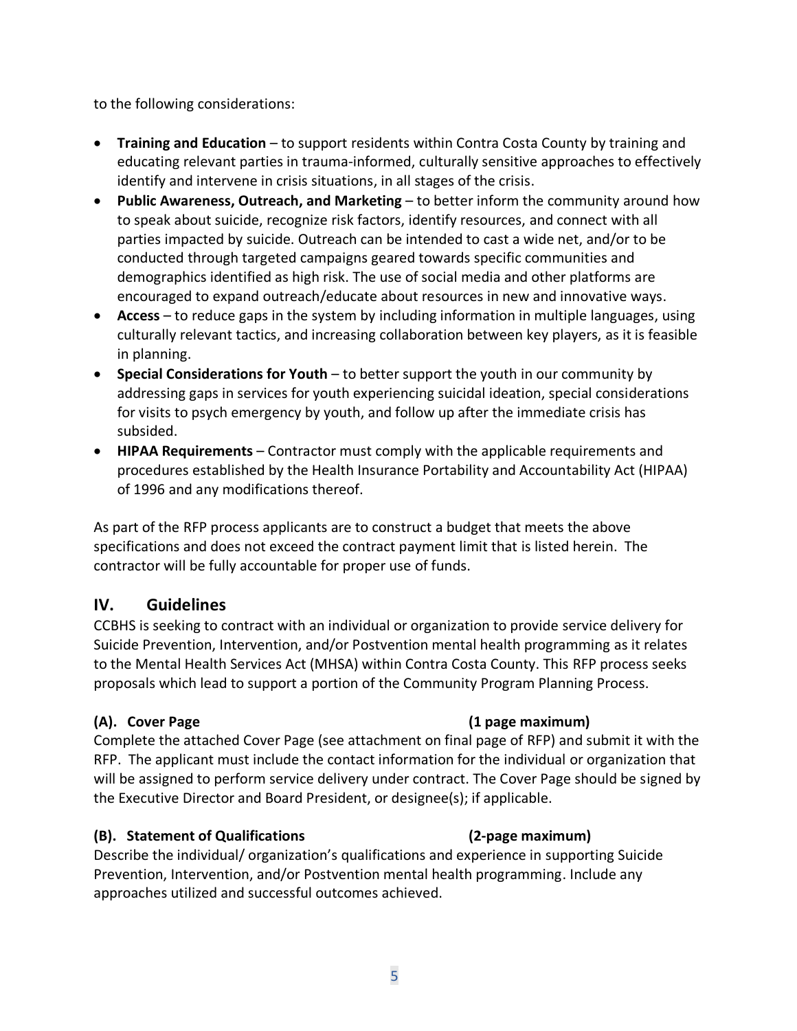to the following considerations:

- **Training and Education**  to support residents within Contra Costa County by training and educating relevant parties in trauma-informed, culturally sensitive approaches to effectively identify and intervene in crisis situations, in all stages of the crisis.
- **Public Awareness, Outreach, and Marketing** to better inform the community around how to speak about suicide, recognize risk factors, identify resources, and connect with all parties impacted by suicide. Outreach can be intended to cast a wide net, and/or to be conducted through targeted campaigns geared towards specific communities and demographics identified as high risk. The use of social media and other platforms are encouraged to expand outreach/educate about resources in new and innovative ways.
- **Access**  to reduce gaps in the system by including information in multiple languages, using culturally relevant tactics, and increasing collaboration between key players, as it is feasible in planning.
- **Special Considerations for Youth** to better support the youth in our community by addressing gaps in services for youth experiencing suicidal ideation, special considerations for visits to psych emergency by youth, and follow up after the immediate crisis has subsided.
- **HIPAA Requirements**  Contractor must comply with the applicable requirements and procedures established by the Health Insurance Portability and Accountability Act (HIPAA) of 1996 and any modifications thereof.

As part of the RFP process applicants are to construct a budget that meets the above specifications and does not exceed the contract payment limit that is listed herein. The contractor will be fully accountable for proper use of funds.

## **IV. Guidelines**

CCBHS is seeking to contract with an individual or organization to provide service delivery for Suicide Prevention, Intervention, and/or Postvention mental health programming as it relates to the Mental Health Services Act (MHSA) within Contra Costa County. This RFP process seeks proposals which lead to support a portion of the Community Program Planning Process.

Complete the attached Cover Page (see attachment on final page of RFP) and submit it with the RFP. The applicant must include the contact information for the individual or organization that will be assigned to perform service delivery under contract. The Cover Page should be signed by the Executive Director and Board President, or designee(s); if applicable.

## **(B). Statement of Qualifications (2-page maximum)**

Describe the individual/ organization's qualifications and experience in supporting Suicide Prevention, Intervention, and/or Postvention mental health programming. Include any approaches utilized and successful outcomes achieved.

## **(A). Cover Page (1 page maximum)**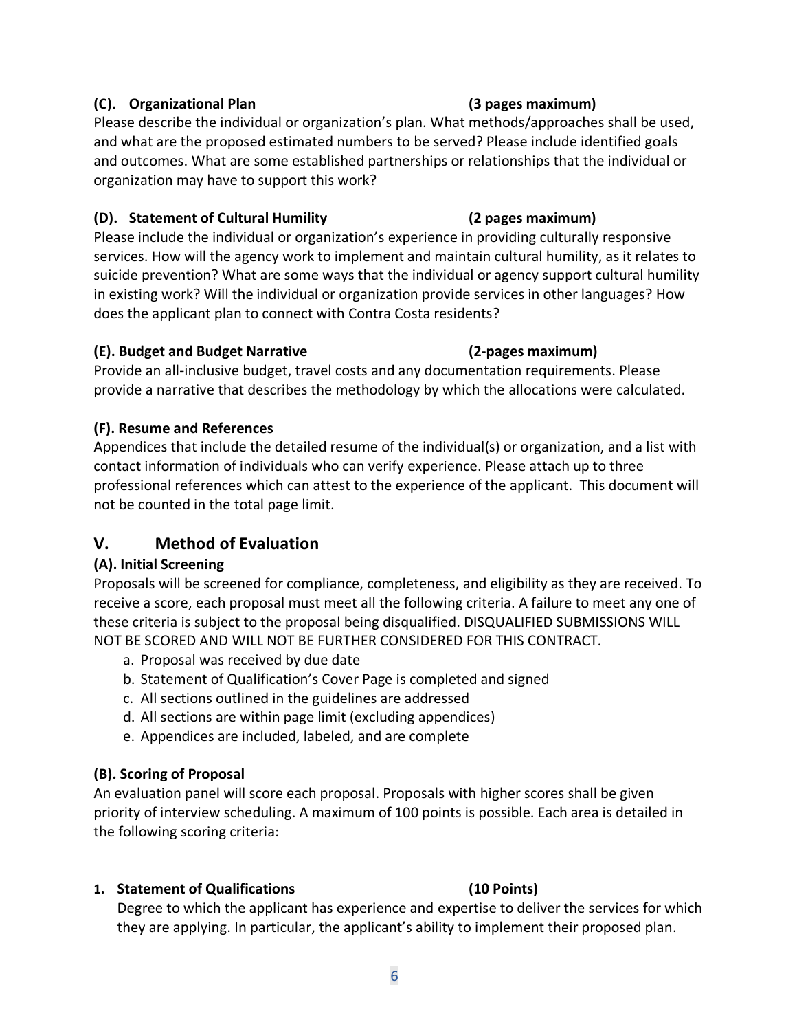## **(C). Organizational Plan (3 pages maximum)**

Please describe the individual or organization's plan. What methods/approaches shall be used, and what are the proposed estimated numbers to be served? Please include identified goals and outcomes. What are some established partnerships or relationships that the individual or organization may have to support this work?

## **(D). Statement of Cultural Humility (2 pages maximum)**

Please include the individual or organization's experience in providing culturally responsive services. How will the agency work to implement and maintain cultural humility, as it relates to suicide prevention? What are some ways that the individual or agency support cultural humility in existing work? Will the individual or organization provide services in other languages? How does the applicant plan to connect with Contra Costa residents?

## **(E). Budget and Budget Narrative (2-pages maximum)**

Provide an all-inclusive budget, travel costs and any documentation requirements. Please provide a narrative that describes the methodology by which the allocations were calculated.

## **(F). Resume and References**

Appendices that include the detailed resume of the individual(s) or organization, and a list with contact information of individuals who can verify experience. Please attach up to three professional references which can attest to the experience of the applicant. This document will not be counted in the total page limit.

# **V. Method of Evaluation**

## **(A). Initial Screening**

Proposals will be screened for compliance, completeness, and eligibility as they are received. To receive a score, each proposal must meet all the following criteria. A failure to meet any one of these criteria is subject to the proposal being disqualified. DISQUALIFIED SUBMISSIONS WILL NOT BE SCORED AND WILL NOT BE FURTHER CONSIDERED FOR THIS CONTRACT.

- a. Proposal was received by due date
- b. Statement of Qualification's Cover Page is completed and signed
- c. All sections outlined in the guidelines are addressed
- d. All sections are within page limit (excluding appendices)
- e. Appendices are included, labeled, and are complete

## **(B). Scoring of Proposal**

An evaluation panel will score each proposal. Proposals with higher scores shall be given priority of interview scheduling. A maximum of 100 points is possible. Each area is detailed in the following scoring criteria:

## **1. Statement of Qualifications (10 Points)**

Degree to which the applicant has experience and expertise to deliver the services for which they are applying. In particular, the applicant's ability to implement their proposed plan.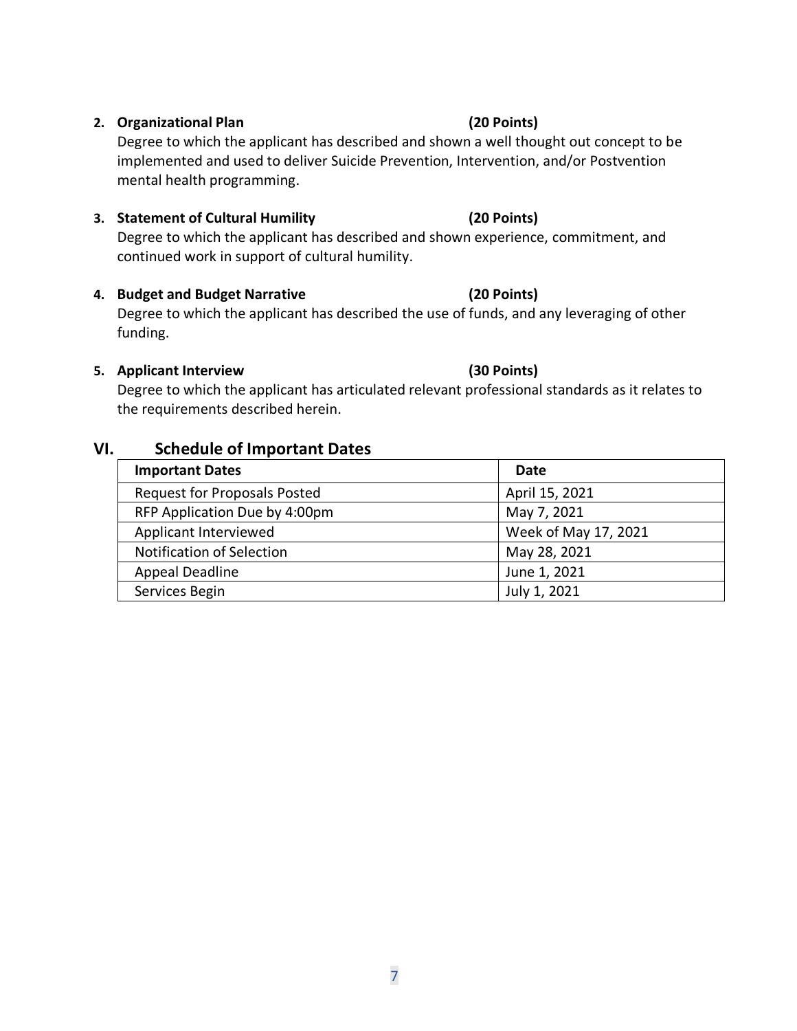### **2. Organizational Plan (20 Points)**

Degree to which the applicant has described and shown a well thought out concept to be implemented and used to deliver Suicide Prevention, Intervention, and/or Postvention mental health programming.

### **3. Statement of Cultural Humility (20 Points)**

Degree to which the applicant has described and shown experience, commitment, and continued work in support of cultural humility.

### **4. Budget and Budget Narrative (20 Points)**

Degree to which the applicant has described the use of funds, and any leveraging of other funding.

### **5. Applicant Interview (30 Points)**

Degree to which the applicant has articulated relevant professional standards as it relates to the requirements described herein.

## **VI. Schedule of Important Dates**

| <b>Important Dates</b>              | Date                 |
|-------------------------------------|----------------------|
| <b>Request for Proposals Posted</b> | April 15, 2021       |
| RFP Application Due by 4:00pm       | May 7, 2021          |
| Applicant Interviewed               | Week of May 17, 2021 |
| <b>Notification of Selection</b>    | May 28, 2021         |
| Appeal Deadline                     | June 1, 2021         |
| Services Begin                      | July 1, 2021         |